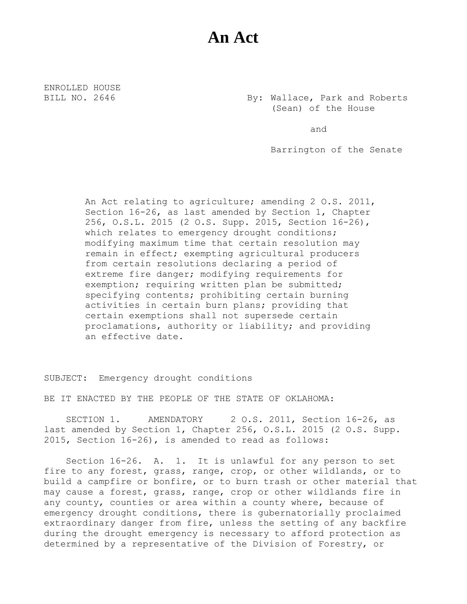## **An Act**

ENROLLED HOUSE

BILL NO. 2646 By: Wallace, Park and Roberts (Sean) of the House

and

Barrington of the Senate

An Act relating to agriculture; amending 2 O.S. 2011, Section 16-26, as last amended by Section 1, Chapter 256, O.S.L. 2015 (2 O.S. Supp. 2015, Section 16-26), which relates to emergency drought conditions; modifying maximum time that certain resolution may remain in effect; exempting agricultural producers from certain resolutions declaring a period of extreme fire danger; modifying requirements for exemption; requiring written plan be submitted; specifying contents; prohibiting certain burning activities in certain burn plans; providing that certain exemptions shall not supersede certain proclamations, authority or liability; and providing an effective date.

SUBJECT: Emergency drought conditions

BE IT ENACTED BY THE PEOPLE OF THE STATE OF OKLAHOMA:

SECTION 1. AMENDATORY 2 O.S. 2011, Section 16-26, as last amended by Section 1, Chapter 256, O.S.L. 2015 (2 O.S. Supp. 2015, Section 16-26), is amended to read as follows:

Section 16-26. A. 1. It is unlawful for any person to set fire to any forest, grass, range, crop, or other wildlands, or to build a campfire or bonfire, or to burn trash or other material that may cause a forest, grass, range, crop or other wildlands fire in any county, counties or area within a county where, because of emergency drought conditions, there is gubernatorially proclaimed extraordinary danger from fire, unless the setting of any backfire during the drought emergency is necessary to afford protection as determined by a representative of the Division of Forestry, or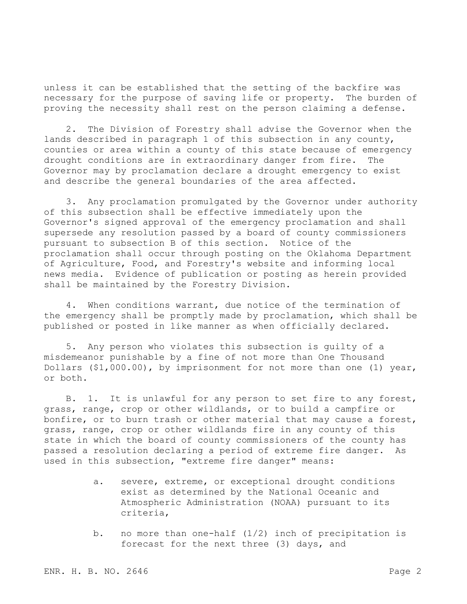unless it can be established that the setting of the backfire was necessary for the purpose of saving life or property. The burden of proving the necessity shall rest on the person claiming a defense.

2. The Division of Forestry shall advise the Governor when the lands described in paragraph 1 of this subsection in any county, counties or area within a county of this state because of emergency drought conditions are in extraordinary danger from fire. The Governor may by proclamation declare a drought emergency to exist and describe the general boundaries of the area affected.

3. Any proclamation promulgated by the Governor under authority of this subsection shall be effective immediately upon the Governor's signed approval of the emergency proclamation and shall supersede any resolution passed by a board of county commissioners pursuant to subsection B of this section. Notice of the proclamation shall occur through posting on the Oklahoma Department of Agriculture, Food, and Forestry's website and informing local news media. Evidence of publication or posting as herein provided shall be maintained by the Forestry Division.

4. When conditions warrant, due notice of the termination of the emergency shall be promptly made by proclamation, which shall be published or posted in like manner as when officially declared.

5. Any person who violates this subsection is guilty of a misdemeanor punishable by a fine of not more than One Thousand Dollars (\$1,000.00), by imprisonment for not more than one (1) year, or both.

B. 1. It is unlawful for any person to set fire to any forest, grass, range, crop or other wildlands, or to build a campfire or bonfire, or to burn trash or other material that may cause a forest, grass, range, crop or other wildlands fire in any county of this state in which the board of county commissioners of the county has passed a resolution declaring a period of extreme fire danger. As used in this subsection, "extreme fire danger" means:

- a. severe, extreme, or exceptional drought conditions exist as determined by the National Oceanic and Atmospheric Administration (NOAA) pursuant to its criteria,
- b. no more than one-half (1/2) inch of precipitation is forecast for the next three (3) days, and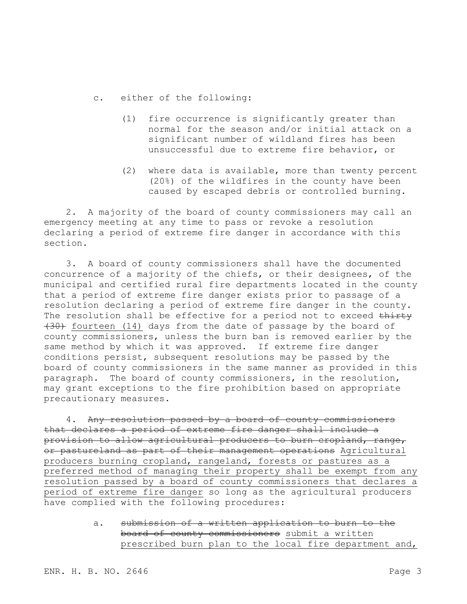- c. either of the following:
	- (1) fire occurrence is significantly greater than normal for the season and/or initial attack on a significant number of wildland fires has been unsuccessful due to extreme fire behavior, or
	- (2) where data is available, more than twenty percent (20%) of the wildfires in the county have been caused by escaped debris or controlled burning.

2. A majority of the board of county commissioners may call an emergency meeting at any time to pass or revoke a resolution declaring a period of extreme fire danger in accordance with this section.

3. A board of county commissioners shall have the documented concurrence of a majority of the chiefs, or their designees, of the municipal and certified rural fire departments located in the county that a period of extreme fire danger exists prior to passage of a resolution declaring a period of extreme fire danger in the county. The resolution shall be effective for a period not to exceed thirty (30) fourteen (14) days from the date of passage by the board of county commissioners, unless the burn ban is removed earlier by the same method by which it was approved. If extreme fire danger conditions persist, subsequent resolutions may be passed by the board of county commissioners in the same manner as provided in this paragraph. The board of county commissioners, in the resolution, may grant exceptions to the fire prohibition based on appropriate precautionary measures.

4. Any resolution passed by a board of county commissioners that declares a period of extreme fire danger shall include a provision to allow agricultural producers to burn cropland, range, or pastureland as part of their management operations Agricultural producers burning cropland, rangeland, forests or pastures as a preferred method of managing their property shall be exempt from any resolution passed by a board of county commissioners that declares a period of extreme fire danger so long as the agricultural producers have complied with the following procedures:

> a. submission of a written application to burn to the board of county commissioners submit a written prescribed burn plan to the local fire department and,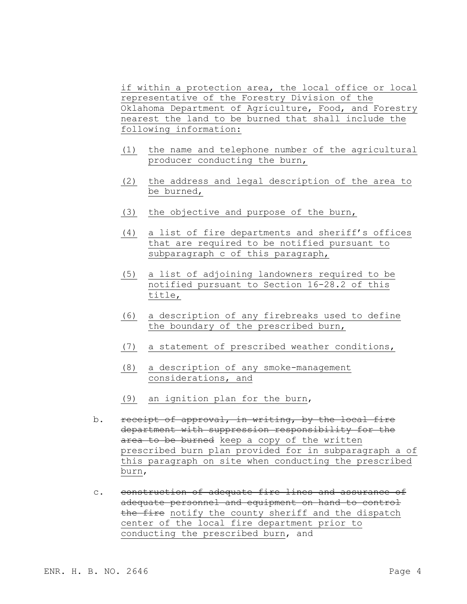if within a protection area, the local office or local representative of the Forestry Division of the Oklahoma Department of Agriculture, Food, and Forestry nearest the land to be burned that shall include the following information:

- (1) the name and telephone number of the agricultural producer conducting the burn,
- (2) the address and legal description of the area to be burned,
- (3) the objective and purpose of the burn,
- (4) a list of fire departments and sheriff's offices that are required to be notified pursuant to subparagraph c of this paragraph,
- (5) a list of adjoining landowners required to be notified pursuant to Section 16-28.2 of this title,
- (6) a description of any firebreaks used to define the boundary of the prescribed burn,
- (7) a statement of prescribed weather conditions,
- (8) a description of any smoke-management considerations, and
- (9) an ignition plan for the burn,
- b. receipt of approval, in writing, by the local fire department with suppression responsibility for the area to be burned keep a copy of the written prescribed burn plan provided for in subparagraph a of this paragraph on site when conducting the prescribed burn,
- c. construction of adequate fire lines and assurance of adequate personnel and equipment on hand to control the fire notify the county sheriff and the dispatch center of the local fire department prior to conducting the prescribed burn, and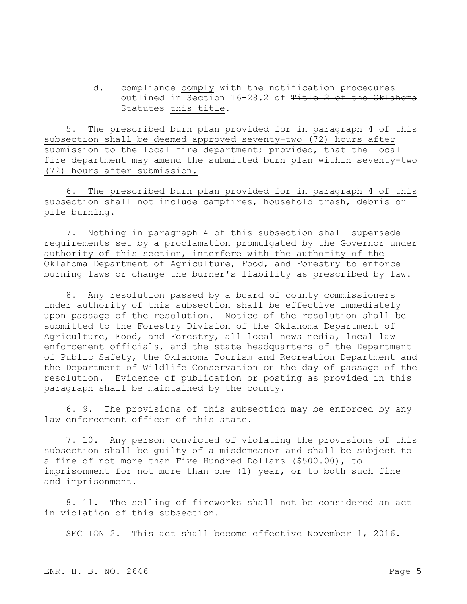d. compliance comply with the notification procedures outlined in Section 16-28.2 of Title 2 of the Oklahoma Statutes this title.

5. The prescribed burn plan provided for in paragraph 4 of this subsection shall be deemed approved seventy-two (72) hours after submission to the local fire department; provided, that the local fire department may amend the submitted burn plan within seventy-two (72) hours after submission.

6. The prescribed burn plan provided for in paragraph 4 of this subsection shall not include campfires, household trash, debris or pile burning.

7. Nothing in paragraph 4 of this subsection shall supersede requirements set by a proclamation promulgated by the Governor under authority of this section, interfere with the authority of the Oklahoma Department of Agriculture, Food, and Forestry to enforce burning laws or change the burner's liability as prescribed by law.

8. Any resolution passed by a board of county commissioners under authority of this subsection shall be effective immediately upon passage of the resolution. Notice of the resolution shall be submitted to the Forestry Division of the Oklahoma Department of Agriculture, Food, and Forestry, all local news media, local law enforcement officials, and the state headquarters of the Department of Public Safety, the Oklahoma Tourism and Recreation Department and the Department of Wildlife Conservation on the day of passage of the resolution. Evidence of publication or posting as provided in this paragraph shall be maintained by the county.

6. 9. The provisions of this subsection may be enforced by any law enforcement officer of this state.

7. 10. Any person convicted of violating the provisions of this subsection shall be guilty of a misdemeanor and shall be subject to a fine of not more than Five Hundred Dollars (\$500.00), to imprisonment for not more than one (1) year, or to both such fine and imprisonment.

8. 11. The selling of fireworks shall not be considered an act in violation of this subsection.

SECTION 2. This act shall become effective November 1, 2016.